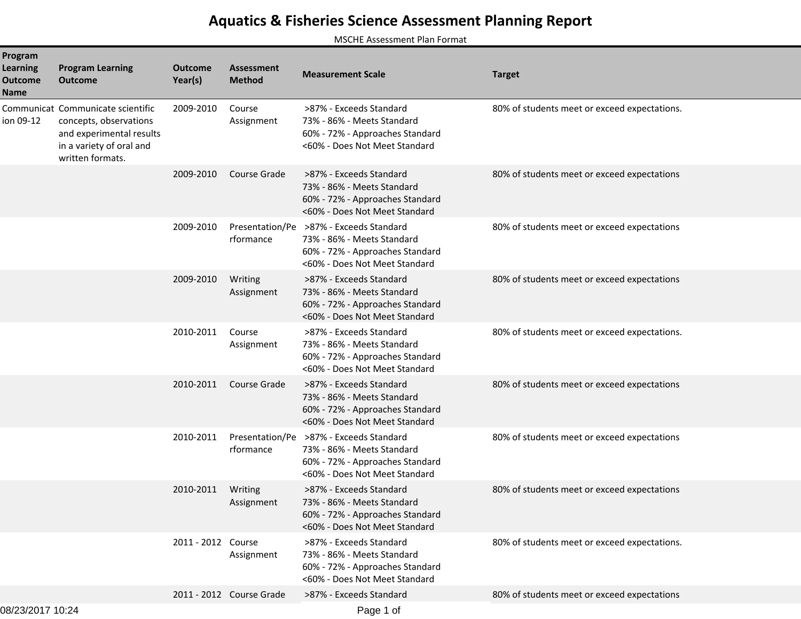## **Aquatics & Fisheries Science Assessment Planning Report**

MSCHE Assessment Plan Format

| Program<br><b>Learning</b><br><b>Outcome</b><br><b>Name</b> | <b>Program Learning</b><br><b>Outcome</b>                                                                                               | <b>Outcome</b><br>Year(s) | <b>Assessment</b><br><b>Method</b> | <b>Measurement Scale</b>                                                                                                                  | <b>Target</b>                                |
|-------------------------------------------------------------|-----------------------------------------------------------------------------------------------------------------------------------------|---------------------------|------------------------------------|-------------------------------------------------------------------------------------------------------------------------------------------|----------------------------------------------|
| ion 09-12                                                   | Communicat Communicate scientific<br>concepts, observations<br>and experimental results<br>in a variety of oral and<br>written formats. | 2009-2010                 | Course<br>Assignment               | >87% - Exceeds Standard<br>73% - 86% - Meets Standard<br>60% - 72% - Approaches Standard<br><60% - Does Not Meet Standard                 | 80% of students meet or exceed expectations. |
|                                                             |                                                                                                                                         | 2009-2010                 | Course Grade                       | >87% - Exceeds Standard<br>73% - 86% - Meets Standard<br>60% - 72% - Approaches Standard<br><60% - Does Not Meet Standard                 | 80% of students meet or exceed expectations  |
|                                                             |                                                                                                                                         | 2009-2010                 | rformance                          | Presentation/Pe >87% - Exceeds Standard<br>73% - 86% - Meets Standard<br>60% - 72% - Approaches Standard<br><60% - Does Not Meet Standard | 80% of students meet or exceed expectations  |
|                                                             |                                                                                                                                         | 2009-2010                 | Writing<br>Assignment              | >87% - Exceeds Standard<br>73% - 86% - Meets Standard<br>60% - 72% - Approaches Standard<br><60% - Does Not Meet Standard                 | 80% of students meet or exceed expectations  |
|                                                             |                                                                                                                                         | 2010-2011                 | Course<br>Assignment               | >87% - Exceeds Standard<br>73% - 86% - Meets Standard<br>60% - 72% - Approaches Standard<br><60% - Does Not Meet Standard                 | 80% of students meet or exceed expectations. |
|                                                             |                                                                                                                                         | 2010-2011                 | Course Grade                       | >87% - Exceeds Standard<br>73% - 86% - Meets Standard<br>60% - 72% - Approaches Standard<br><60% - Does Not Meet Standard                 | 80% of students meet or exceed expectations  |
|                                                             |                                                                                                                                         | 2010-2011                 | rformance                          | Presentation/Pe >87% - Exceeds Standard<br>73% - 86% - Meets Standard<br>60% - 72% - Approaches Standard<br><60% - Does Not Meet Standard | 80% of students meet or exceed expectations  |
|                                                             |                                                                                                                                         | 2010-2011                 | Writing<br>Assignment              | >87% - Exceeds Standard<br>73% - 86% - Meets Standard<br>60% - 72% - Approaches Standard<br><60% - Does Not Meet Standard                 | 80% of students meet or exceed expectations  |
|                                                             |                                                                                                                                         | 2011 - 2012 Course        | Assignment                         | >87% - Exceeds Standard<br>73% - 86% - Meets Standard<br>60% - 72% - Approaches Standard<br><60% - Does Not Meet Standard                 | 80% of students meet or exceed expectations. |
|                                                             |                                                                                                                                         |                           | 2011 - 2012 Course Grade           | >87% - Exceeds Standard                                                                                                                   | 80% of students meet or exceed expectations  |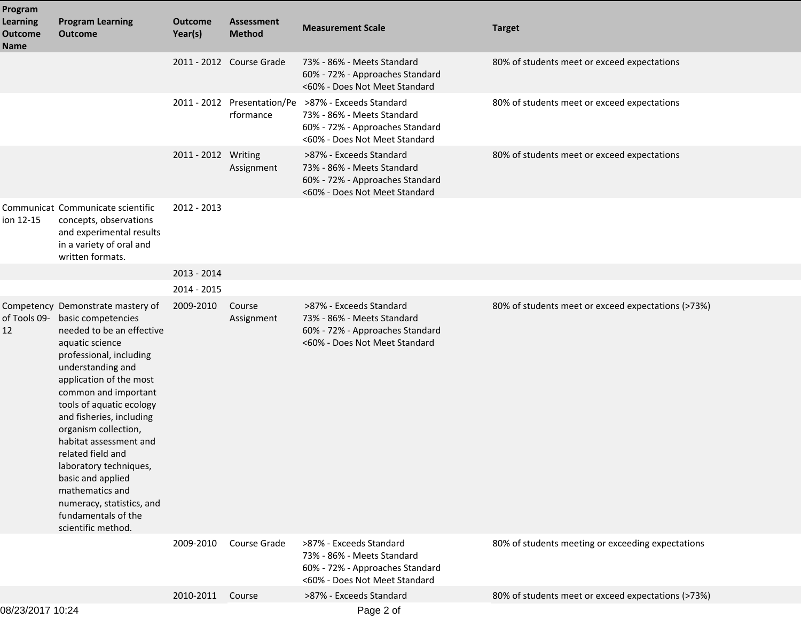| Program                                   |                                                                                                                                                                                                                                                                                                                                                                                                                                                                                       |                           |                                          |                                                                                                                           |                                                    |
|-------------------------------------------|---------------------------------------------------------------------------------------------------------------------------------------------------------------------------------------------------------------------------------------------------------------------------------------------------------------------------------------------------------------------------------------------------------------------------------------------------------------------------------------|---------------------------|------------------------------------------|---------------------------------------------------------------------------------------------------------------------------|----------------------------------------------------|
| <b>Learning</b><br><b>Outcome</b><br>Name | <b>Program Learning</b><br><b>Outcome</b>                                                                                                                                                                                                                                                                                                                                                                                                                                             | <b>Outcome</b><br>Year(s) | <b>Assessment</b><br><b>Method</b>       | <b>Measurement Scale</b>                                                                                                  | <b>Target</b>                                      |
|                                           |                                                                                                                                                                                                                                                                                                                                                                                                                                                                                       |                           | 2011 - 2012 Course Grade                 | 73% - 86% - Meets Standard<br>60% - 72% - Approaches Standard<br><60% - Does Not Meet Standard                            | 80% of students meet or exceed expectations        |
|                                           |                                                                                                                                                                                                                                                                                                                                                                                                                                                                                       |                           | 2011 - 2012 Presentation/Pe<br>rformance | >87% - Exceeds Standard<br>73% - 86% - Meets Standard<br>60% - 72% - Approaches Standard<br><60% - Does Not Meet Standard | 80% of students meet or exceed expectations        |
|                                           |                                                                                                                                                                                                                                                                                                                                                                                                                                                                                       | 2011 - 2012 Writing       | Assignment                               | >87% - Exceeds Standard<br>73% - 86% - Meets Standard<br>60% - 72% - Approaches Standard<br><60% - Does Not Meet Standard | 80% of students meet or exceed expectations        |
| ion 12-15                                 | Communicat Communicate scientific<br>concepts, observations<br>and experimental results<br>in a variety of oral and<br>written formats.                                                                                                                                                                                                                                                                                                                                               | 2012 - 2013               |                                          |                                                                                                                           |                                                    |
|                                           |                                                                                                                                                                                                                                                                                                                                                                                                                                                                                       | 2013 - 2014               |                                          |                                                                                                                           |                                                    |
|                                           |                                                                                                                                                                                                                                                                                                                                                                                                                                                                                       | 2014 - 2015               |                                          |                                                                                                                           |                                                    |
| of Tools 09-<br>12                        | Competency Demonstrate mastery of<br>basic competencies<br>needed to be an effective<br>aquatic science<br>professional, including<br>understanding and<br>application of the most<br>common and important<br>tools of aquatic ecology<br>and fisheries, including<br>organism collection,<br>habitat assessment and<br>related field and<br>laboratory techniques,<br>basic and applied<br>mathematics and<br>numeracy, statistics, and<br>fundamentals of the<br>scientific method. | 2009-2010                 | Course<br>Assignment                     | >87% - Exceeds Standard<br>73% - 86% - Meets Standard<br>60% - 72% - Approaches Standard<br><60% - Does Not Meet Standard | 80% of students meet or exceed expectations (>73%) |
|                                           |                                                                                                                                                                                                                                                                                                                                                                                                                                                                                       | 2009-2010                 | Course Grade                             | >87% - Exceeds Standard<br>73% - 86% - Meets Standard<br>60% - 72% - Approaches Standard<br><60% - Does Not Meet Standard | 80% of students meeting or exceeding expectations  |
|                                           |                                                                                                                                                                                                                                                                                                                                                                                                                                                                                       | 2010-2011                 | Course                                   | >87% - Exceeds Standard                                                                                                   | 80% of students meet or exceed expectations (>73%) |
|                                           |                                                                                                                                                                                                                                                                                                                                                                                                                                                                                       |                           |                                          |                                                                                                                           |                                                    |

08/23/2017 10:24

Page 2 of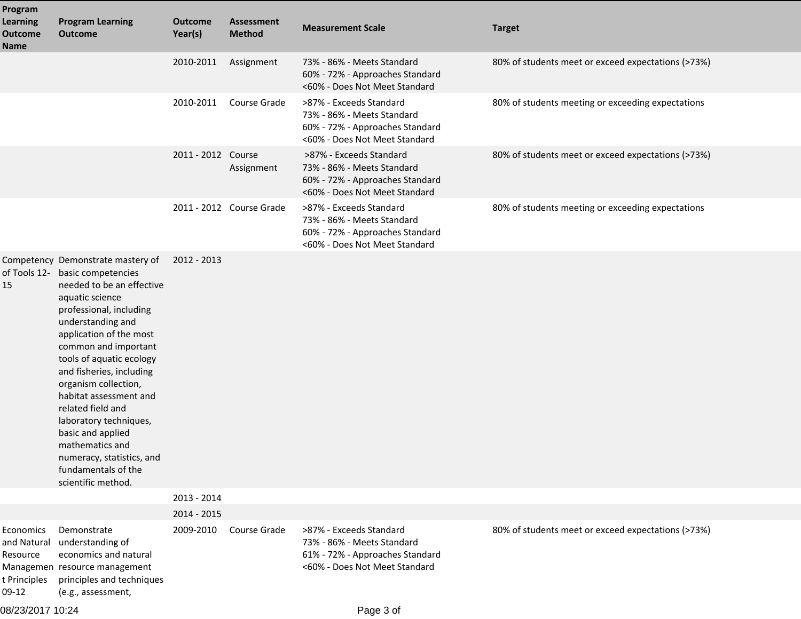| Program<br><b>Learning</b><br><b>Outcome</b> | <b>Program Learning</b><br><b>Outcome</b>                                                                                                                                                                                                                                                                                                                                                                                                                                                          | <b>Outcome</b><br>Year(s) | <b>Assessment</b><br><b>Method</b> | <b>Measurement Scale</b>                                                                                                  | <b>Target</b>                                      |
|----------------------------------------------|----------------------------------------------------------------------------------------------------------------------------------------------------------------------------------------------------------------------------------------------------------------------------------------------------------------------------------------------------------------------------------------------------------------------------------------------------------------------------------------------------|---------------------------|------------------------------------|---------------------------------------------------------------------------------------------------------------------------|----------------------------------------------------|
| <b>Name</b>                                  |                                                                                                                                                                                                                                                                                                                                                                                                                                                                                                    | 2010-2011                 | Assignment                         | 73% - 86% - Meets Standard<br>60% - 72% - Approaches Standard<br><60% - Does Not Meet Standard                            | 80% of students meet or exceed expectations (>73%) |
|                                              |                                                                                                                                                                                                                                                                                                                                                                                                                                                                                                    | 2010-2011                 | Course Grade                       | >87% - Exceeds Standard<br>73% - 86% - Meets Standard<br>60% - 72% - Approaches Standard<br><60% - Does Not Meet Standard | 80% of students meeting or exceeding expectations  |
|                                              |                                                                                                                                                                                                                                                                                                                                                                                                                                                                                                    | 2011 - 2012 Course        | Assignment                         | >87% - Exceeds Standard<br>73% - 86% - Meets Standard<br>60% - 72% - Approaches Standard<br><60% - Does Not Meet Standard | 80% of students meet or exceed expectations (>73%) |
|                                              |                                                                                                                                                                                                                                                                                                                                                                                                                                                                                                    |                           | 2011 - 2012 Course Grade           | >87% - Exceeds Standard<br>73% - 86% - Meets Standard<br>60% - 72% - Approaches Standard<br><60% - Does Not Meet Standard | 80% of students meeting or exceeding expectations  |
| 15                                           | Competency Demonstrate mastery of<br>of Tools 12- basic competencies<br>needed to be an effective<br>aquatic science<br>professional, including<br>understanding and<br>application of the most<br>common and important<br>tools of aquatic ecology<br>and fisheries, including<br>organism collection,<br>habitat assessment and<br>related field and<br>laboratory techniques,<br>basic and applied<br>mathematics and<br>numeracy, statistics, and<br>fundamentals of the<br>scientific method. | 2012 - 2013               |                                    |                                                                                                                           |                                                    |
|                                              |                                                                                                                                                                                                                                                                                                                                                                                                                                                                                                    | 2013 - 2014               |                                    |                                                                                                                           |                                                    |
| Economics<br>and Natural<br>Resource         | Demonstrate<br>understanding of<br>economics and natural<br>Managemen resource management                                                                                                                                                                                                                                                                                                                                                                                                          | 2014 - 2015<br>2009-2010  | Course Grade                       | >87% - Exceeds Standard<br>73% - 86% - Meets Standard<br>61% - 72% - Approaches Standard<br><60% - Does Not Meet Standard | 80% of students meet or exceed expectations (>73%) |
| t Principles<br>09-12                        | principles and techniques<br>(e.g., assessment,                                                                                                                                                                                                                                                                                                                                                                                                                                                    |                           |                                    |                                                                                                                           |                                                    |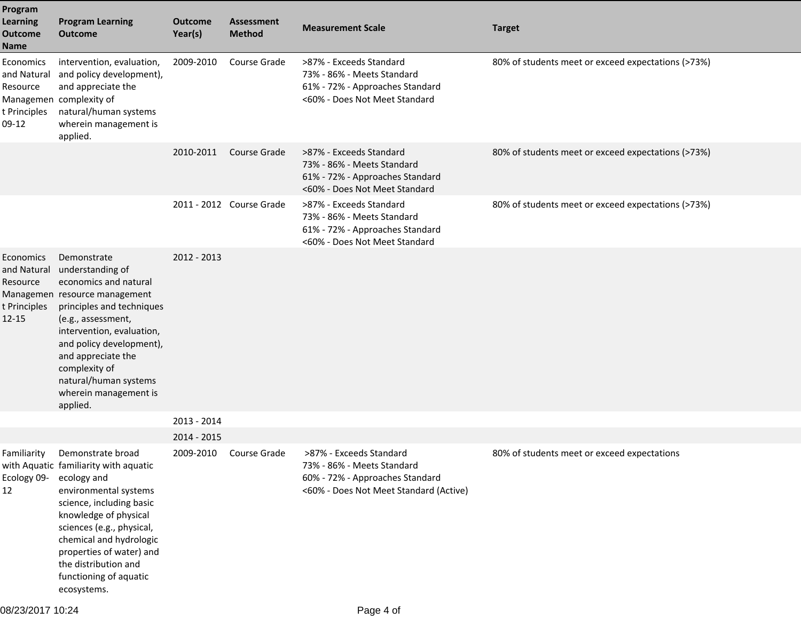| Program<br><b>Learning</b><br><b>Outcome</b><br><b>Name</b>       | <b>Program Learning</b><br><b>Outcome</b>                                                                                                                                                                                                                                                                  | <b>Outcome</b><br>Year(s) | <b>Assessment</b><br><b>Method</b> | <b>Measurement Scale</b>                                                                                                           | <b>Target</b>                                      |
|-------------------------------------------------------------------|------------------------------------------------------------------------------------------------------------------------------------------------------------------------------------------------------------------------------------------------------------------------------------------------------------|---------------------------|------------------------------------|------------------------------------------------------------------------------------------------------------------------------------|----------------------------------------------------|
| Economics<br>and Natural<br>Resource<br>t Principles<br>$09-12$   | intervention, evaluation,<br>and policy development),<br>and appreciate the<br>Managemen complexity of<br>natural/human systems<br>wherein management is<br>applied.                                                                                                                                       | 2009-2010                 | Course Grade                       | >87% - Exceeds Standard<br>73% - 86% - Meets Standard<br>61% - 72% - Approaches Standard<br><60% - Does Not Meet Standard          | 80% of students meet or exceed expectations (>73%) |
|                                                                   |                                                                                                                                                                                                                                                                                                            | 2010-2011                 | Course Grade                       | >87% - Exceeds Standard<br>73% - 86% - Meets Standard<br>61% - 72% - Approaches Standard<br><60% - Does Not Meet Standard          | 80% of students meet or exceed expectations (>73%) |
|                                                                   |                                                                                                                                                                                                                                                                                                            |                           | 2011 - 2012 Course Grade           | >87% - Exceeds Standard<br>73% - 86% - Meets Standard<br>61% - 72% - Approaches Standard<br><60% - Does Not Meet Standard          | 80% of students meet or exceed expectations (>73%) |
| Economics<br>and Natural<br>Resource<br>t Principles<br>$12 - 15$ | Demonstrate<br>understanding of<br>economics and natural<br>Managemen resource management<br>principles and techniques<br>(e.g., assessment,<br>intervention, evaluation,<br>and policy development),<br>and appreciate the<br>complexity of<br>natural/human systems<br>wherein management is<br>applied. | 2012 - 2013               |                                    |                                                                                                                                    |                                                    |
|                                                                   |                                                                                                                                                                                                                                                                                                            | 2013 - 2014               |                                    |                                                                                                                                    |                                                    |
|                                                                   |                                                                                                                                                                                                                                                                                                            | 2014 - 2015               |                                    |                                                                                                                                    |                                                    |
| Familiarity<br>Ecology 09- ecology and<br>12                      | Demonstrate broad<br>with Aquatic familiarity with aquatic<br>environmental systems<br>science, including basic<br>knowledge of physical<br>sciences (e.g., physical,<br>chemical and hydrologic<br>properties of water) and<br>the distribution and<br>functioning of aquatic<br>ecosystems.              | 2009-2010                 | Course Grade                       | >87% - Exceeds Standard<br>73% - 86% - Meets Standard<br>60% - 72% - Approaches Standard<br><60% - Does Not Meet Standard (Active) | 80% of students meet or exceed expectations        |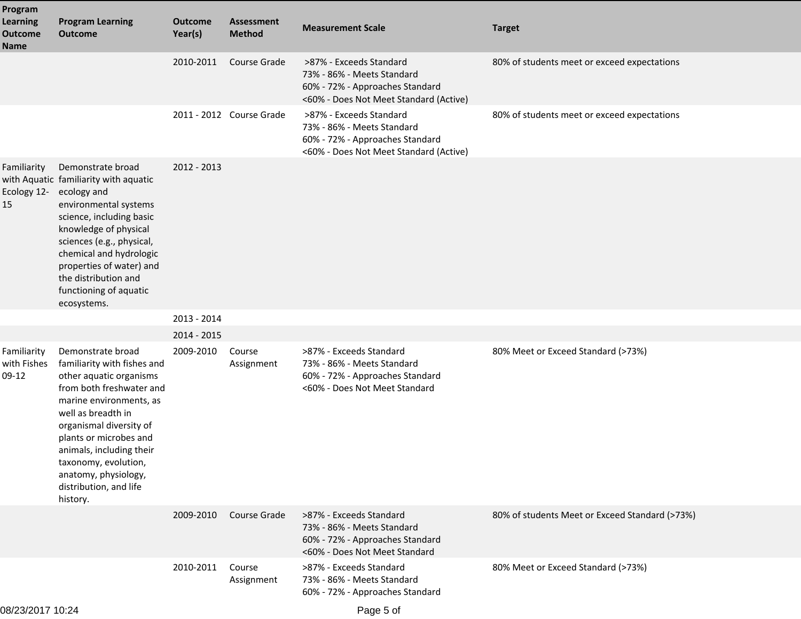| Program<br><b>Learning</b><br><b>Outcome</b><br><b>Name</b> | <b>Program Learning</b><br><b>Outcome</b>                                                                                                                                                                                                                                                                                       | <b>Outcome</b><br>Year(s) | <b>Assessment</b><br><b>Method</b> | <b>Measurement Scale</b>                                                                                                           | <b>Target</b>                                  |
|-------------------------------------------------------------|---------------------------------------------------------------------------------------------------------------------------------------------------------------------------------------------------------------------------------------------------------------------------------------------------------------------------------|---------------------------|------------------------------------|------------------------------------------------------------------------------------------------------------------------------------|------------------------------------------------|
|                                                             |                                                                                                                                                                                                                                                                                                                                 | 2010-2011                 | Course Grade                       | >87% - Exceeds Standard<br>73% - 86% - Meets Standard<br>60% - 72% - Approaches Standard<br><60% - Does Not Meet Standard (Active) | 80% of students meet or exceed expectations    |
|                                                             |                                                                                                                                                                                                                                                                                                                                 |                           | 2011 - 2012 Course Grade           | >87% - Exceeds Standard<br>73% - 86% - Meets Standard<br>60% - 72% - Approaches Standard<br><60% - Does Not Meet Standard (Active) | 80% of students meet or exceed expectations    |
| Familiarity<br>Ecology 12-<br>15                            | Demonstrate broad<br>with Aquatic familiarity with aquatic<br>ecology and<br>environmental systems<br>science, including basic<br>knowledge of physical<br>sciences (e.g., physical,<br>chemical and hydrologic<br>properties of water) and<br>the distribution and<br>functioning of aquatic<br>ecosystems.                    | 2012 - 2013               |                                    |                                                                                                                                    |                                                |
|                                                             |                                                                                                                                                                                                                                                                                                                                 | 2013 - 2014               |                                    |                                                                                                                                    |                                                |
|                                                             |                                                                                                                                                                                                                                                                                                                                 | 2014 - 2015               |                                    |                                                                                                                                    |                                                |
| Familiarity<br>with Fishes<br>$09-12$                       | Demonstrate broad<br>familiarity with fishes and<br>other aquatic organisms<br>from both freshwater and<br>marine environments, as<br>well as breadth in<br>organismal diversity of<br>plants or microbes and<br>animals, including their<br>taxonomy, evolution,<br>anatomy, physiology,<br>distribution, and life<br>history. | 2009-2010                 | Course<br>Assignment               | >87% - Exceeds Standard<br>73% - 86% - Meets Standard<br>60% - 72% - Approaches Standard<br><60% - Does Not Meet Standard          | 80% Meet or Exceed Standard (>73%)             |
|                                                             |                                                                                                                                                                                                                                                                                                                                 | 2009-2010                 | Course Grade                       | >87% - Exceeds Standard<br>73% - 86% - Meets Standard<br>60% - 72% - Approaches Standard<br><60% - Does Not Meet Standard          | 80% of students Meet or Exceed Standard (>73%) |
|                                                             |                                                                                                                                                                                                                                                                                                                                 | 2010-2011                 | Course<br>Assignment               | >87% - Exceeds Standard<br>73% - 86% - Meets Standard<br>60% - 72% - Approaches Standard                                           | 80% Meet or Exceed Standard (>73%)             |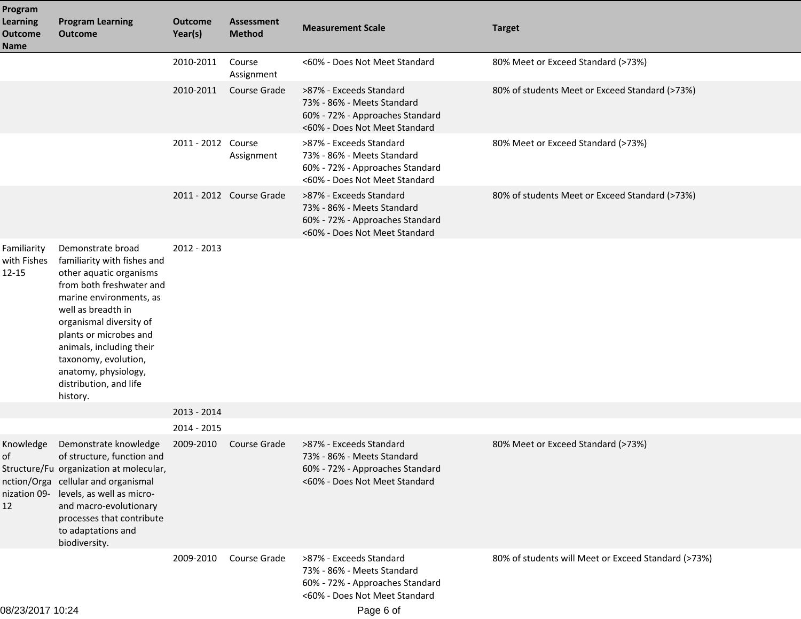| Program                                          |                                                                                                                                                                                                                                                                                                                                 |                           |                                    |                                                                                                                           |                                                     |
|--------------------------------------------------|---------------------------------------------------------------------------------------------------------------------------------------------------------------------------------------------------------------------------------------------------------------------------------------------------------------------------------|---------------------------|------------------------------------|---------------------------------------------------------------------------------------------------------------------------|-----------------------------------------------------|
| <b>Learning</b><br><b>Outcome</b><br><b>Name</b> | <b>Program Learning</b><br><b>Outcome</b>                                                                                                                                                                                                                                                                                       | <b>Outcome</b><br>Year(s) | <b>Assessment</b><br><b>Method</b> | <b>Measurement Scale</b>                                                                                                  | <b>Target</b>                                       |
|                                                  |                                                                                                                                                                                                                                                                                                                                 | 2010-2011                 | Course<br>Assignment               | <60% - Does Not Meet Standard                                                                                             | 80% Meet or Exceed Standard (>73%)                  |
|                                                  |                                                                                                                                                                                                                                                                                                                                 | 2010-2011                 | Course Grade                       | >87% - Exceeds Standard<br>73% - 86% - Meets Standard<br>60% - 72% - Approaches Standard<br><60% - Does Not Meet Standard | 80% of students Meet or Exceed Standard (>73%)      |
|                                                  |                                                                                                                                                                                                                                                                                                                                 | 2011 - 2012 Course        | Assignment                         | >87% - Exceeds Standard<br>73% - 86% - Meets Standard<br>60% - 72% - Approaches Standard<br><60% - Does Not Meet Standard | 80% Meet or Exceed Standard (>73%)                  |
|                                                  |                                                                                                                                                                                                                                                                                                                                 |                           | 2011 - 2012 Course Grade           | >87% - Exceeds Standard<br>73% - 86% - Meets Standard<br>60% - 72% - Approaches Standard<br><60% - Does Not Meet Standard | 80% of students Meet or Exceed Standard (>73%)      |
| Familiarity<br>with Fishes<br>$12 - 15$          | Demonstrate broad<br>familiarity with fishes and<br>other aquatic organisms<br>from both freshwater and<br>marine environments, as<br>well as breadth in<br>organismal diversity of<br>plants or microbes and<br>animals, including their<br>taxonomy, evolution,<br>anatomy, physiology,<br>distribution, and life<br>history. | 2012 - 2013               |                                    |                                                                                                                           |                                                     |
|                                                  |                                                                                                                                                                                                                                                                                                                                 | 2013 - 2014               |                                    |                                                                                                                           |                                                     |
|                                                  |                                                                                                                                                                                                                                                                                                                                 | 2014 - 2015               |                                    |                                                                                                                           |                                                     |
| Knowledge<br>of<br>12                            | Demonstrate knowledge<br>of structure, function and<br>Structure/Fu organization at molecular,<br>nction/Orga cellular and organismal<br>nization 09- levels, as well as micro-<br>and macro-evolutionary<br>processes that contribute<br>to adaptations and<br>biodiversity.                                                   | 2009-2010                 | Course Grade                       | >87% - Exceeds Standard<br>73% - 86% - Meets Standard<br>60% - 72% - Approaches Standard<br><60% - Does Not Meet Standard | 80% Meet or Exceed Standard (>73%)                  |
|                                                  |                                                                                                                                                                                                                                                                                                                                 | 2009-2010                 | Course Grade                       | >87% - Exceeds Standard<br>73% - 86% - Meets Standard<br>60% - 72% - Approaches Standard<br><60% - Does Not Meet Standard | 80% of students will Meet or Exceed Standard (>73%) |